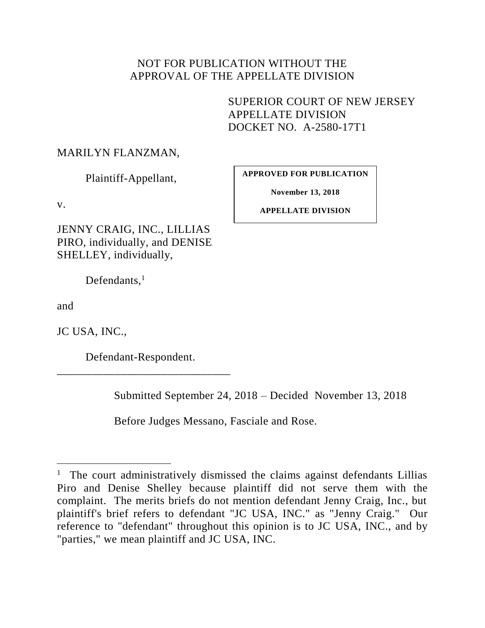# NOT FOR PUBLICATION WITHOUT THE APPROVAL OF THE APPELLATE DIVISION

SUPERIOR COURT OF NEW JERSEY APPELLATE DIVISION DOCKET NO. A-2580-17T1

### MARILYN FLANZMAN,

Plaintiff-Appellant,

v.

JENNY CRAIG, INC., LILLIAS PIRO, individually, and DENISE SHELLEY, individually,

Defendants, $<sup>1</sup>$ </sup>

and

l

JC USA, INC.,

Defendant-Respondent. \_\_\_\_\_\_\_\_\_\_\_\_\_\_\_\_\_\_\_\_\_\_\_\_\_\_\_\_\_\_

Submitted September 24, 2018 – Decided November 13, 2018

Before Judges Messano, Fasciale and Rose.

**APPROVED FOR PUBLICATION**

**November 13, 2018**

**APPELLATE DIVISION**

<sup>&</sup>lt;sup>1</sup> The court administratively dismissed the claims against defendants Lillias Piro and Denise Shelley because plaintiff did not serve them with the complaint. The merits briefs do not mention defendant Jenny Craig, Inc., but plaintiff's brief refers to defendant "JC USA, INC." as "Jenny Craig." Our reference to "defendant" throughout this opinion is to JC USA, INC., and by "parties," we mean plaintiff and JC USA, INC.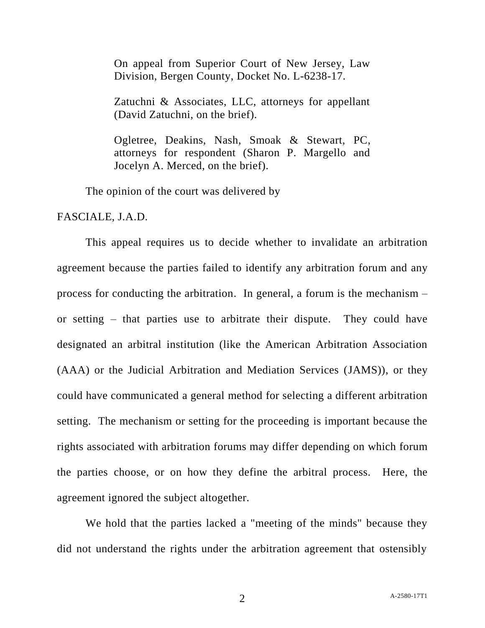On appeal from Superior Court of New Jersey, Law Division, Bergen County, Docket No. L-6238-17.

Zatuchni & Associates, LLC, attorneys for appellant (David Zatuchni, on the brief).

Ogletree, Deakins, Nash, Smoak & Stewart, PC, attorneys for respondent (Sharon P. Margello and Jocelyn A. Merced, on the brief).

The opinion of the court was delivered by

FASCIALE, J.A.D.

This appeal requires us to decide whether to invalidate an arbitration agreement because the parties failed to identify any arbitration forum and any process for conducting the arbitration. In general, a forum is the mechanism – or setting – that parties use to arbitrate their dispute. They could have designated an arbitral institution (like the American Arbitration Association (AAA) or the Judicial Arbitration and Mediation Services (JAMS)), or they could have communicated a general method for selecting a different arbitration setting. The mechanism or setting for the proceeding is important because the rights associated with arbitration forums may differ depending on which forum the parties choose, or on how they define the arbitral process. Here, the agreement ignored the subject altogether.

We hold that the parties lacked a "meeting of the minds" because they did not understand the rights under the arbitration agreement that ostensibly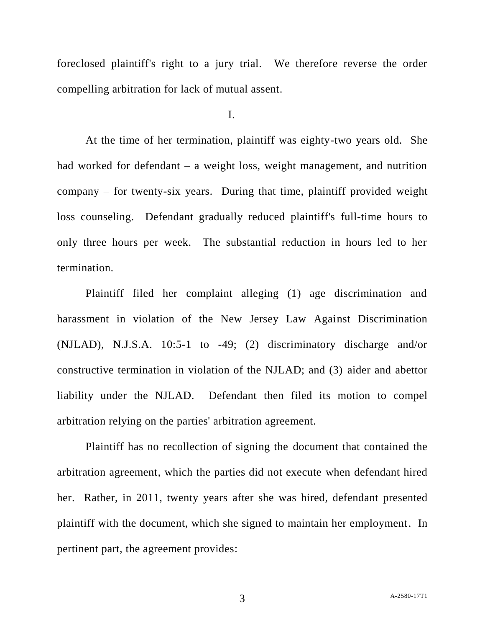foreclosed plaintiff's right to a jury trial. We therefore reverse the order compelling arbitration for lack of mutual assent.

I.

At the time of her termination, plaintiff was eighty-two years old. She had worked for defendant – a weight loss, weight management, and nutrition company – for twenty-six years. During that time, plaintiff provided weight loss counseling. Defendant gradually reduced plaintiff's full-time hours to only three hours per week. The substantial reduction in hours led to her termination.

Plaintiff filed her complaint alleging (1) age discrimination and harassment in violation of the New Jersey Law Against Discrimination (NJLAD), N.J.S.A. 10:5-1 to -49; (2) discriminatory discharge and/or constructive termination in violation of the NJLAD; and (3) aider and abettor liability under the NJLAD. Defendant then filed its motion to compel arbitration relying on the parties' arbitration agreement.

Plaintiff has no recollection of signing the document that contained the arbitration agreement, which the parties did not execute when defendant hired her. Rather, in 2011, twenty years after she was hired, defendant presented plaintiff with the document, which she signed to maintain her employment. In pertinent part, the agreement provides: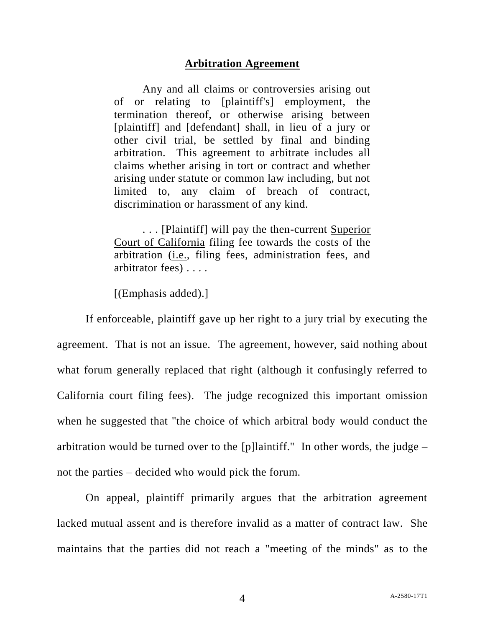#### **Arbitration Agreement**

Any and all claims or controversies arising out of or relating to [plaintiff's] employment, the termination thereof, or otherwise arising between [plaintiff] and [defendant] shall, in lieu of a jury or other civil trial, be settled by final and binding arbitration. This agreement to arbitrate includes all claims whether arising in tort or contract and whether arising under statute or common law including, but not limited to, any claim of breach of contract, discrimination or harassment of any kind.

. . . [Plaintiff] will pay the then-current Superior Court of California filing fee towards the costs of the arbitration (i.e., filing fees, administration fees, and arbitrator fees) . . . .

[(Emphasis added).]

If enforceable, plaintiff gave up her right to a jury trial by executing the agreement. That is not an issue. The agreement, however, said nothing about what forum generally replaced that right (although it confusingly referred to California court filing fees). The judge recognized this important omission when he suggested that "the choice of which arbitral body would conduct the arbitration would be turned over to the [p]laintiff." In other words, the judge – not the parties – decided who would pick the forum.

On appeal, plaintiff primarily argues that the arbitration agreement lacked mutual assent and is therefore invalid as a matter of contract law. She maintains that the parties did not reach a "meeting of the minds" as to the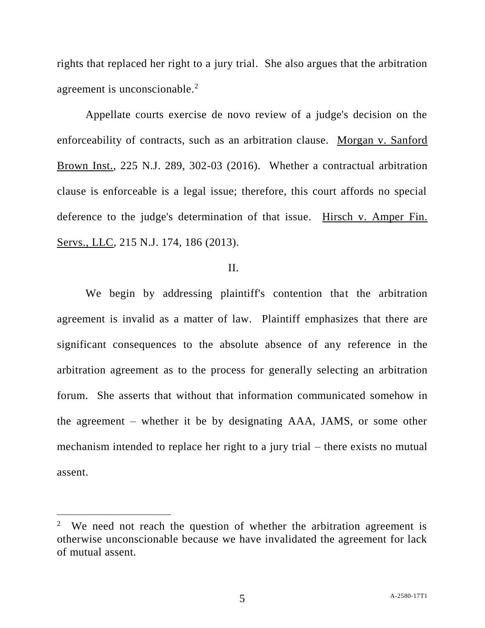rights that replaced her right to a jury trial. She also argues that the arbitration agreement is unconscionable.<sup>2</sup>

Appellate courts exercise de novo review of a judge's decision on the enforceability of contracts, such as an arbitration clause. Morgan v. Sanford Brown Inst., 225 N.J. 289, 302-03 (2016). Whether a contractual arbitration clause is enforceable is a legal issue; therefore, this court affords no special deference to the judge's determination of that issue. Hirsch v. Amper Fin. Servs., LLC, 215 N.J. 174, 186 (2013).

### II.

We begin by addressing plaintiff's contention that the arbitration agreement is invalid as a matter of law. Plaintiff emphasizes that there are significant consequences to the absolute absence of any reference in the arbitration agreement as to the process for generally selecting an arbitration forum. She asserts that without that information communicated somehow in the agreement – whether it be by designating AAA, JAMS, or some other mechanism intended to replace her right to a jury trial – there exists no mutual assent.

<sup>2</sup> We need not reach the question of whether the arbitration agreement is otherwise unconscionable because we have invalidated the agreement for lack of mutual assent.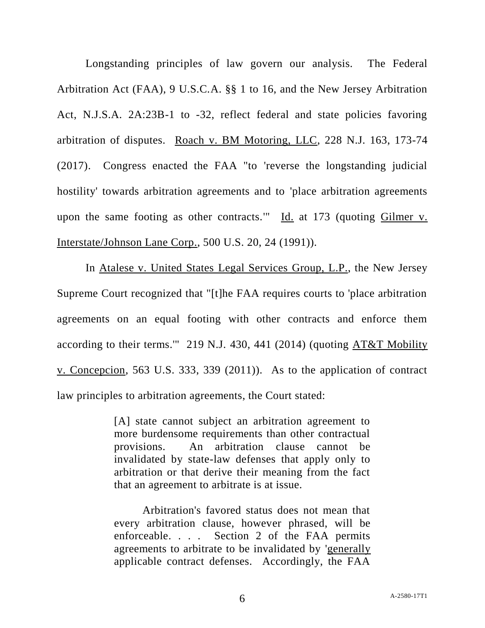Longstanding principles of law govern our analysis. The Federal Arbitration Act (FAA), 9 U.S.C.A. §§ 1 to 16, and the New Jersey Arbitration Act, N.J.S.A. 2A:23B-1 to -32, reflect federal and state policies favoring arbitration of disputes. Roach v. BM Motoring, LLC, 228 N.J. 163, 173-74 (2017). Congress enacted the FAA "to 'reverse the longstanding judicial hostility' towards arbitration agreements and to 'place arbitration agreements upon the same footing as other contracts."  $\underline{Id}$  at 173 (quoting Gilmer v. Interstate/Johnson Lane Corp., 500 U.S. 20, 24 (1991)).

In Atalese v. United States Legal Services Group, L.P., the New Jersey Supreme Court recognized that "[t]he FAA requires courts to 'place arbitration agreements on an equal footing with other contracts and enforce them according to their terms.'" 219 N.J. 430, 441 (2014) (quoting AT&T Mobility v. Concepcion, 563 U.S. 333, 339 (2011)). As to the application of contract law principles to arbitration agreements, the Court stated:

> [A] state cannot subject an arbitration agreement to more burdensome requirements than other contractual provisions. An arbitration clause cannot be invalidated by state-law defenses that apply only to arbitration or that derive their meaning from the fact that an agreement to arbitrate is at issue.

> Arbitration's favored status does not mean that every arbitration clause, however phrased, will be enforceable. . . . Section 2 of the FAA permits agreements to arbitrate to be invalidated by 'generally applicable contract defenses. Accordingly, the FAA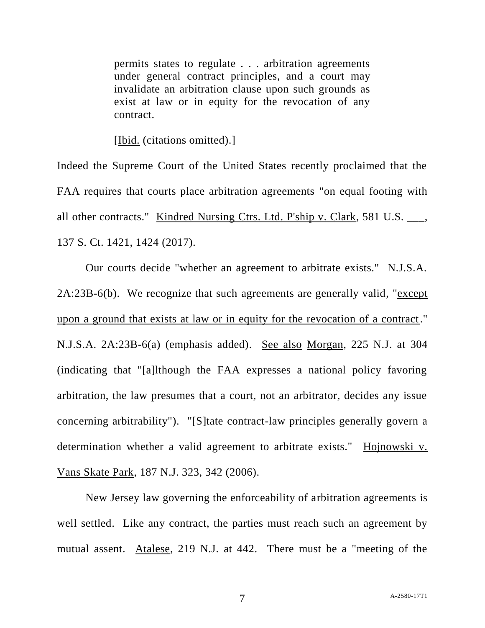permits states to regulate . . . arbitration agreements under general contract principles, and a court may invalidate an arbitration clause upon such grounds as exist at law or in equity for the revocation of any contract.

[Ibid. (citations omitted).]

Indeed the Supreme Court of the United States recently proclaimed that the FAA requires that courts place arbitration agreements "on equal footing with all other contracts." Kindred Nursing Ctrs. Ltd. P'ship v. Clark, 581 U.S. \_\_\_, 137 S. Ct. 1421, 1424 (2017).

Our courts decide "whether an agreement to arbitrate exists." N.J.S.A. 2A:23B-6(b). We recognize that such agreements are generally valid, "except upon a ground that exists at law or in equity for the revocation of a contract." N.J.S.A. 2A:23B-6(a) (emphasis added). See also Morgan, 225 N.J. at 304 (indicating that "[a]lthough the FAA expresses a national policy favoring arbitration, the law presumes that a court, not an arbitrator, decides any issue concerning arbitrability"). "[S]tate contract-law principles generally govern a determination whether a valid agreement to arbitrate exists." Hojnowski v. Vans Skate Park, 187 N.J. 323, 342 (2006).

New Jersey law governing the enforceability of arbitration agreements is well settled. Like any contract, the parties must reach such an agreement by mutual assent. Atalese, 219 N.J. at 442. There must be a "meeting of the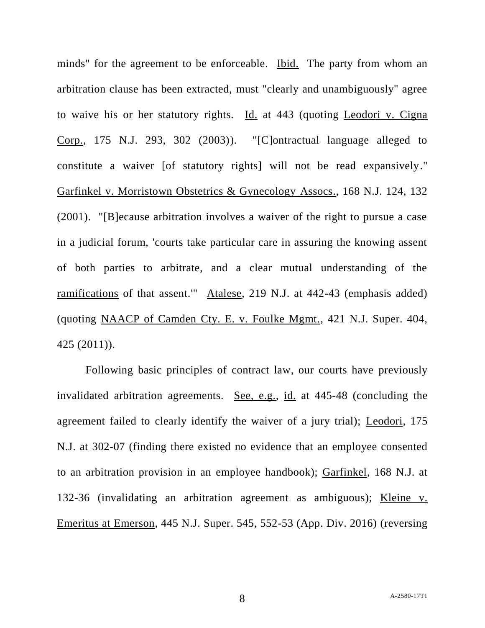minds" for the agreement to be enforceable. Ibid. The party from whom an arbitration clause has been extracted, must "clearly and unambiguously" agree to waive his or her statutory rights. Id. at 443 (quoting Leodori v. Cigna Corp., 175 N.J. 293, 302 (2003)). "[C]ontractual language alleged to constitute a waiver [of statutory rights] will not be read expansively." Garfinkel v. Morristown Obstetrics & Gynecology Assocs., 168 N.J. 124, 132 (2001). "[B]ecause arbitration involves a waiver of the right to pursue a case in a judicial forum, 'courts take particular care in assuring the knowing assent of both parties to arbitrate, and a clear mutual understanding of the ramifications of that assent.'" Atalese, 219 N.J. at 442-43 (emphasis added) (quoting NAACP of Camden Cty. E. v. Foulke Mgmt., 421 N.J. Super. 404, 425 (2011)).

Following basic principles of contract law, our courts have previously invalidated arbitration agreements. See, e.g., id. at 445-48 (concluding the agreement failed to clearly identify the waiver of a jury trial); Leodori, 175 N.J. at 302-07 (finding there existed no evidence that an employee consented to an arbitration provision in an employee handbook); Garfinkel, 168 N.J. at 132-36 (invalidating an arbitration agreement as ambiguous); Kleine v. Emeritus at Emerson, 445 N.J. Super. 545, 552-53 (App. Div. 2016) (reversing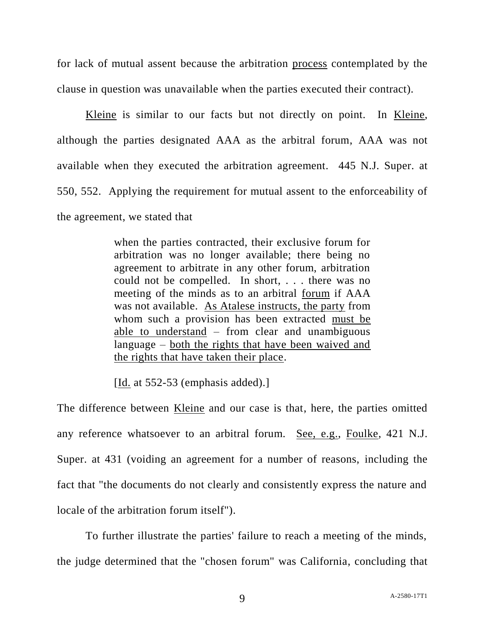for lack of mutual assent because the arbitration process contemplated by the clause in question was unavailable when the parties executed their contract).

Kleine is similar to our facts but not directly on point. In Kleine, although the parties designated AAA as the arbitral forum, AAA was not available when they executed the arbitration agreement. 445 N.J. Super. at 550, 552. Applying the requirement for mutual assent to the enforceability of the agreement, we stated that

> when the parties contracted, their exclusive forum for arbitration was no longer available; there being no agreement to arbitrate in any other forum, arbitration could not be compelled. In short, . . . there was no meeting of the minds as to an arbitral forum if AAA was not available. As Atalese instructs, the party from whom such a provision has been extracted must be able to understand – from clear and unambiguous language – both the rights that have been waived and the rights that have taken their place.

[Id. at 552-53 (emphasis added).]

The difference between <u>Kleine</u> and our case is that, here, the parties omitted any reference whatsoever to an arbitral forum. See, e.g., Foulke, 421 N.J. Super. at 431 (voiding an agreement for a number of reasons, including the fact that "the documents do not clearly and consistently express the nature and locale of the arbitration forum itself").

To further illustrate the parties' failure to reach a meeting of the minds, the judge determined that the "chosen forum" was California, concluding that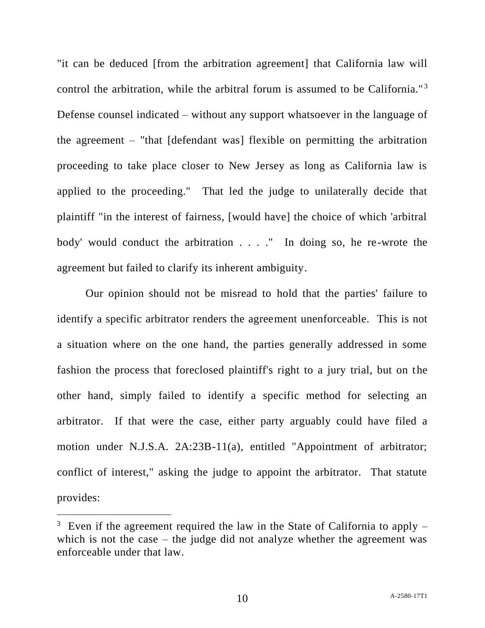"it can be deduced [from the arbitration agreement] that California law will control the arbitration, while the arbitral forum is assumed to be California."<sup>3</sup> Defense counsel indicated – without any support whatsoever in the language of the agreement – "that [defendant was] flexible on permitting the arbitration proceeding to take place closer to New Jersey as long as California law is applied to the proceeding." That led the judge to unilaterally decide that plaintiff "in the interest of fairness, [would have] the choice of which 'arbitral body' would conduct the arbitration . . . ." In doing so, he re-wrote the agreement but failed to clarify its inherent ambiguity.

Our opinion should not be misread to hold that the parties' failure to identify a specific arbitrator renders the agreement unenforceable. This is not a situation where on the one hand, the parties generally addressed in some fashion the process that foreclosed plaintiff's right to a jury trial, but on the other hand, simply failed to identify a specific method for selecting an arbitrator. If that were the case, either party arguably could have filed a motion under N.J.S.A. 2A:23B-11(a), entitled "Appointment of arbitrator; conflict of interest," asking the judge to appoint the arbitrator. That statute provides:

 $3$  Even if the agreement required the law in the State of California to apply  $$ which is not the case – the judge did not analyze whether the agreement was enforceable under that law.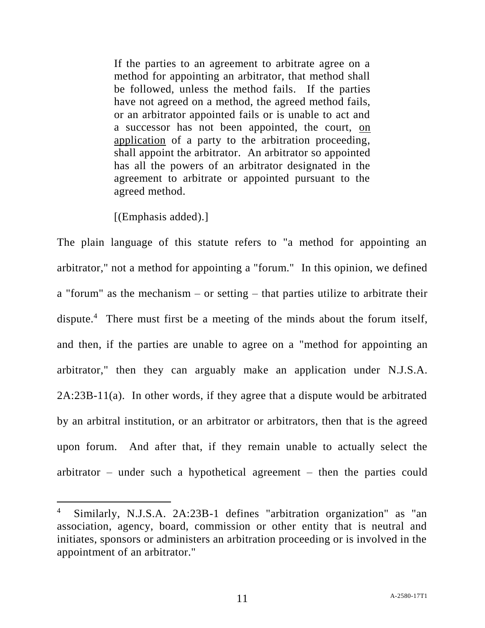If the parties to an agreement to arbitrate agree on a method for appointing an arbitrator, that method shall be followed, unless the method fails. If the parties have not agreed on a method, the agreed method fails, or an arbitrator appointed fails or is unable to act and a successor has not been appointed, the court, on application of a party to the arbitration proceeding, shall appoint the arbitrator. An arbitrator so appointed has all the powers of an arbitrator designated in the agreement to arbitrate or appointed pursuant to the agreed method.

[(Emphasis added).]

 $\overline{a}$ 

The plain language of this statute refers to "a method for appointing an arbitrator," not a method for appointing a "forum." In this opinion, we defined a "forum" as the mechanism – or setting – that parties utilize to arbitrate their dispute.<sup>4</sup> There must first be a meeting of the minds about the forum itself, and then, if the parties are unable to agree on a "method for appointing an arbitrator," then they can arguably make an application under N.J.S.A. 2A:23B-11(a). In other words, if they agree that a dispute would be arbitrated by an arbitral institution, or an arbitrator or arbitrators, then that is the agreed upon forum. And after that, if they remain unable to actually select the arbitrator – under such a hypothetical agreement – then the parties could

<sup>4</sup> Similarly, N.J.S.A. 2A:23B-1 defines "arbitration organization" as "an association, agency, board, commission or other entity that is neutral and initiates, sponsors or administers an arbitration proceeding or is involved in the appointment of an arbitrator."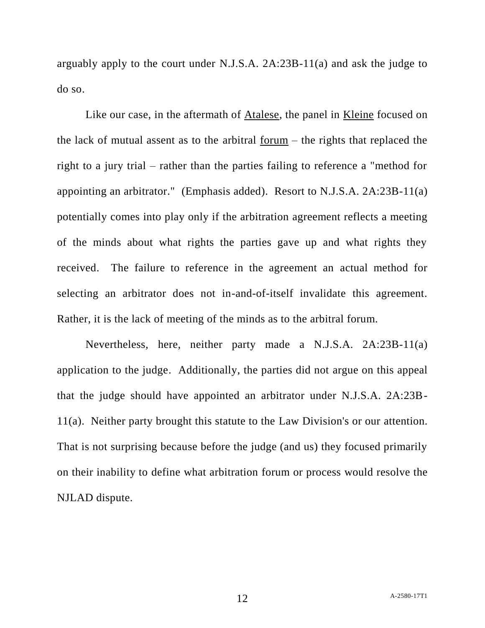arguably apply to the court under N.J.S.A. 2A:23B-11(a) and ask the judge to do so.

Like our case, in the aftermath of Atalese, the panel in Kleine focused on the lack of mutual assent as to the arbitral forum – the rights that replaced the right to a jury trial – rather than the parties failing to reference a "method for appointing an arbitrator." (Emphasis added). Resort to N.J.S.A. 2A:23B-11(a) potentially comes into play only if the arbitration agreement reflects a meeting of the minds about what rights the parties gave up and what rights they received. The failure to reference in the agreement an actual method for selecting an arbitrator does not in-and-of-itself invalidate this agreement. Rather, it is the lack of meeting of the minds as to the arbitral forum.

Nevertheless, here, neither party made a N.J.S.A. 2A:23B-11(a) application to the judge. Additionally, the parties did not argue on this appeal that the judge should have appointed an arbitrator under N.J.S.A. 2A:23B-11(a). Neither party brought this statute to the Law Division's or our attention. That is not surprising because before the judge (and us) they focused primarily on their inability to define what arbitration forum or process would resolve the NJLAD dispute.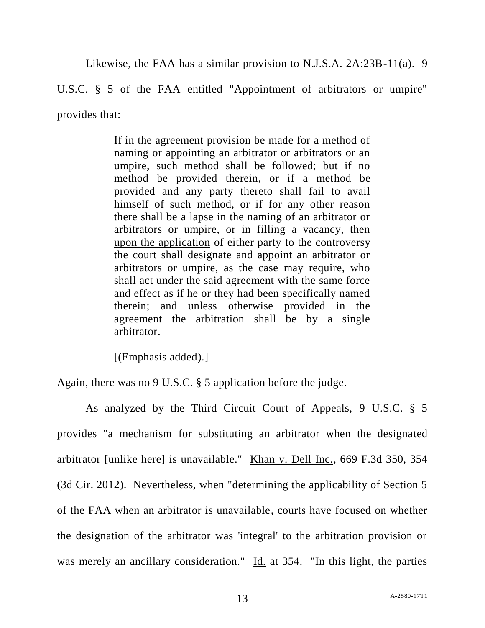Likewise, the FAA has a similar provision to N.J.S.A. 2A:23B-11(a). 9

U.S.C. § 5 of the FAA entitled "Appointment of arbitrators or umpire"

provides that:

If in the agreement provision be made for a method of naming or appointing an arbitrator or arbitrators or an umpire, such method shall be followed; but if no method be provided therein, or if a method be provided and any party thereto shall fail to avail himself of such method, or if for any other reason there shall be a lapse in the naming of an arbitrator or arbitrators or umpire, or in filling a vacancy, then upon the application of either party to the controversy the court shall designate and appoint an arbitrator or arbitrators or umpire, as the case may require, who shall act under the said agreement with the same force and effect as if he or they had been specifically named therein; and unless otherwise provided in the agreement the arbitration shall be by a single arbitrator.

[(Emphasis added).]

Again, there was no 9 U.S.C. § 5 application before the judge.

As analyzed by the Third Circuit Court of Appeals, 9 U.S.C. § 5 provides "a mechanism for substituting an arbitrator when the designated arbitrator [unlike here] is unavailable." Khan v. Dell Inc., 669 F.3d 350, 354 (3d Cir. 2012). Nevertheless, when "determining the applicability of Section 5 of the FAA when an arbitrator is unavailable, courts have focused on whether the designation of the arbitrator was 'integral' to the arbitration provision or was merely an ancillary consideration." Id. at 354. "In this light, the parties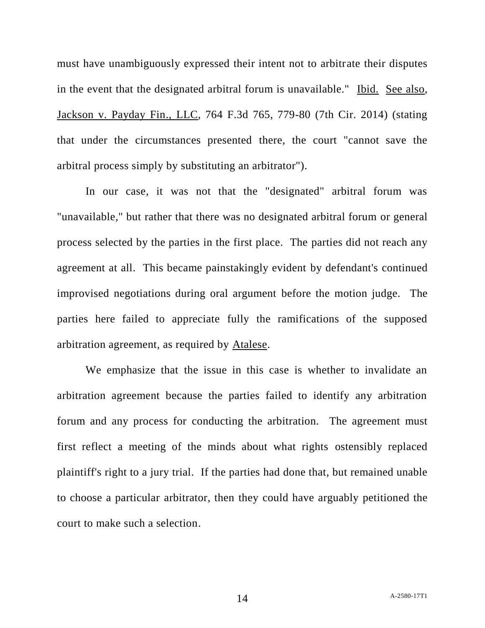must have unambiguously expressed their intent not to arbitrate their disputes in the event that the designated arbitral forum is unavailable." Ibid. See also, Jackson v. Payday Fin., LLC, 764 F.3d 765, 779-80 (7th Cir. 2014) (stating that under the circumstances presented there, the court "cannot save the arbitral process simply by substituting an arbitrator").

In our case, it was not that the "designated" arbitral forum was "unavailable," but rather that there was no designated arbitral forum or general process selected by the parties in the first place. The parties did not reach any agreement at all. This became painstakingly evident by defendant's continued improvised negotiations during oral argument before the motion judge. The parties here failed to appreciate fully the ramifications of the supposed arbitration agreement, as required by Atalese.

We emphasize that the issue in this case is whether to invalidate an arbitration agreement because the parties failed to identify any arbitration forum and any process for conducting the arbitration. The agreement must first reflect a meeting of the minds about what rights ostensibly replaced plaintiff's right to a jury trial. If the parties had done that, but remained unable to choose a particular arbitrator, then they could have arguably petitioned the court to make such a selection.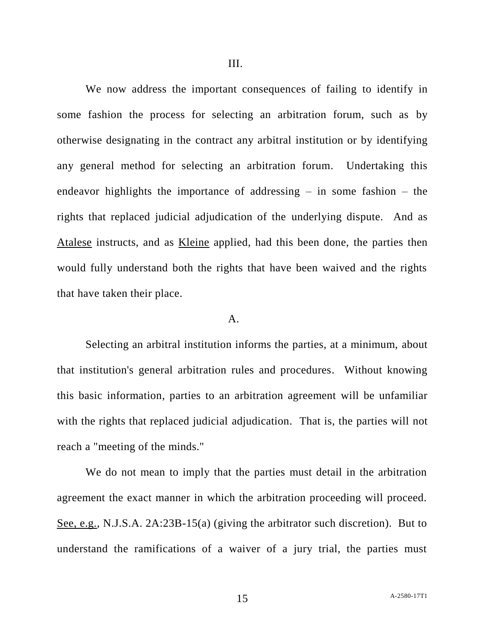We now address the important consequences of failing to identify in some fashion the process for selecting an arbitration forum, such as by otherwise designating in the contract any arbitral institution or by identifying any general method for selecting an arbitration forum. Undertaking this endeavor highlights the importance of addressing  $-$  in some fashion  $-$  the rights that replaced judicial adjudication of the underlying dispute. And as Atalese instructs, and as Kleine applied, had this been done, the parties then would fully understand both the rights that have been waived and the rights that have taken their place.

#### A.

Selecting an arbitral institution informs the parties, at a minimum, about that institution's general arbitration rules and procedures. Without knowing this basic information, parties to an arbitration agreement will be unfamiliar with the rights that replaced judicial adjudication. That is, the parties will not reach a "meeting of the minds."

We do not mean to imply that the parties must detail in the arbitration agreement the exact manner in which the arbitration proceeding will proceed. See, e.g., N.J.S.A. 2A:23B-15(a) (giving the arbitrator such discretion). But to understand the ramifications of a waiver of a jury trial, the parties must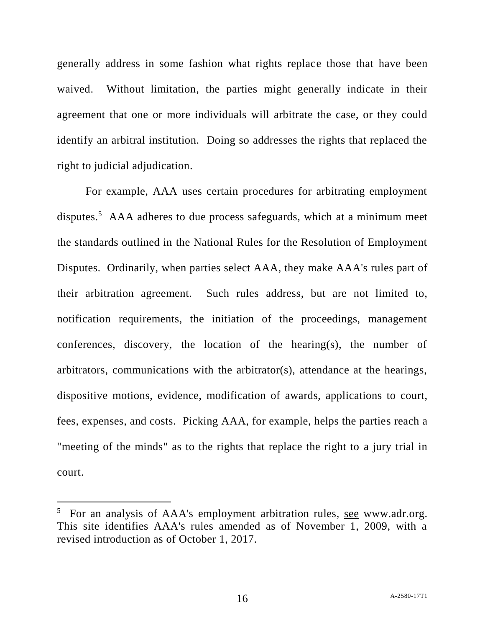generally address in some fashion what rights replace those that have been waived. Without limitation, the parties might generally indicate in their agreement that one or more individuals will arbitrate the case, or they could identify an arbitral institution. Doing so addresses the rights that replaced the right to judicial adjudication.

For example, AAA uses certain procedures for arbitrating employment disputes.<sup>5</sup> AAA adheres to due process safeguards, which at a minimum meet the standards outlined in the National Rules for the Resolution of Employment Disputes. Ordinarily, when parties select AAA, they make AAA's rules part of their arbitration agreement. Such rules address, but are not limited to, notification requirements, the initiation of the proceedings, management conferences, discovery, the location of the hearing(s), the number of arbitrators, communications with the arbitrator(s), attendance at the hearings, dispositive motions, evidence, modification of awards, applications to court, fees, expenses, and costs. Picking AAA, for example, helps the parties reach a "meeting of the minds" as to the rights that replace the right to a jury trial in court.

<sup>&</sup>lt;sup>5</sup> For an analysis of AAA's employment arbitration rules, see www.adr.org. This site identifies AAA's rules amended as of November 1, 2009, with a revised introduction as of October 1, 2017.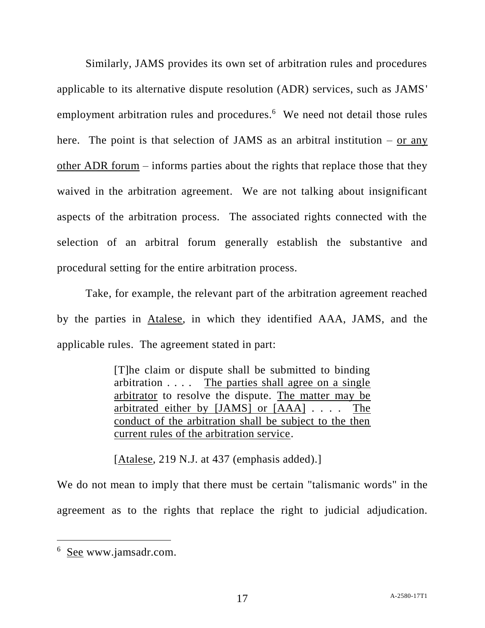Similarly, JAMS provides its own set of arbitration rules and procedures applicable to its alternative dispute resolution (ADR) services, such as JAMS' employment arbitration rules and procedures.<sup>6</sup> We need not detail those rules here. The point is that selection of JAMS as an arbitral institution  $-$  or any other ADR forum – informs parties about the rights that replace those that they waived in the arbitration agreement. We are not talking about insignificant aspects of the arbitration process. The associated rights connected with the selection of an arbitral forum generally establish the substantive and procedural setting for the entire arbitration process.

Take, for example, the relevant part of the arbitration agreement reached by the parties in Atalese, in which they identified AAA, JAMS, and the applicable rules. The agreement stated in part:

> [T]he claim or dispute shall be submitted to binding arbitration . . . . The parties shall agree on a single arbitrator to resolve the dispute. The matter may be arbitrated either by [JAMS] or [AAA] . . . . The conduct of the arbitration shall be subject to the then current rules of the arbitration service.

[Atalese, 219 N.J. at 437 (emphasis added).]

We do not mean to imply that there must be certain "talismanic words" in the agreement as to the rights that replace the right to judicial adjudication.

<sup>&</sup>lt;sup>6</sup> See www.jamsadr.com.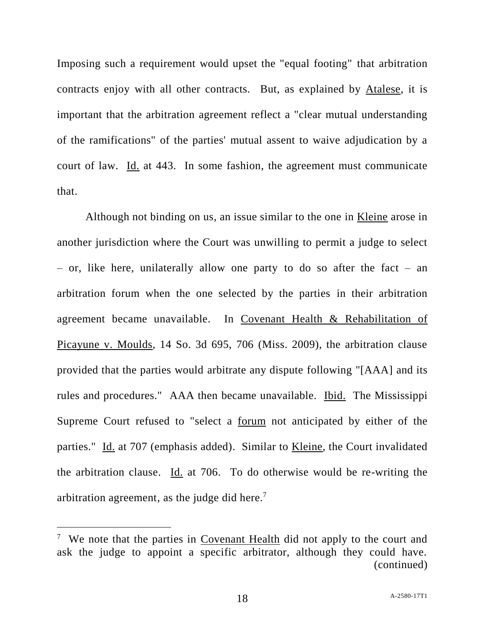Imposing such a requirement would upset the "equal footing" that arbitration contracts enjoy with all other contracts. But, as explained by Atalese, it is important that the arbitration agreement reflect a "clear mutual understanding of the ramifications" of the parties' mutual assent to waive adjudication by a court of law. Id. at 443. In some fashion, the agreement must communicate that.

Although not binding on us, an issue similar to the one in <u>Kleine</u> arose in another jurisdiction where the Court was unwilling to permit a judge to select – or, like here, unilaterally allow one party to do so after the fact – an arbitration forum when the one selected by the parties in their arbitration agreement became unavailable. In Covenant Health & Rehabilitation of Picayune v. Moulds, 14 So. 3d 695, 706 (Miss. 2009), the arbitration clause provided that the parties would arbitrate any dispute following "[AAA] and its rules and procedures." AAA then became unavailable. Ibid. The Mississippi Supreme Court refused to "select a forum not anticipated by either of the parties." Id. at 707 (emphasis added). Similar to Kleine, the Court invalidated the arbitration clause. Id. at 706. To do otherwise would be re-writing the arbitration agreement, as the judge did here.<sup>7</sup>

<sup>&</sup>lt;sup>7</sup> We note that the parties in Covenant Health did not apply to the court and ask the judge to appoint a specific arbitrator, although they could have. (continued)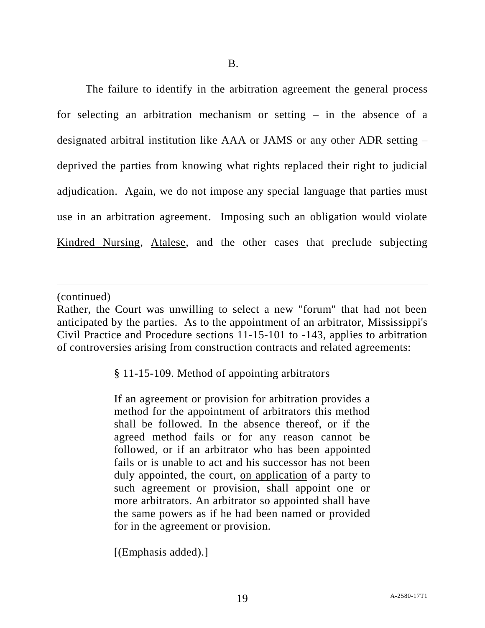The failure to identify in the arbitration agreement the general process for selecting an arbitration mechanism or setting – in the absence of a designated arbitral institution like AAA or JAMS or any other ADR setting – deprived the parties from knowing what rights replaced their right to judicial adjudication. Again, we do not impose any special language that parties must use in an arbitration agreement. Imposing such an obligation would violate Kindred Nursing, Atalese, and the other cases that preclude subjecting

(continued)

 $\overline{a}$ 

§ 11-15-109. Method of appointing arbitrators

If an agreement or provision for arbitration provides a method for the appointment of arbitrators this method shall be followed. In the absence thereof, or if the agreed method fails or for any reason cannot be followed, or if an arbitrator who has been appointed fails or is unable to act and his successor has not been duly appointed, the court, on application of a party to such agreement or provision, shall appoint one or more arbitrators. An arbitrator so appointed shall have the same powers as if he had been named or provided for in the agreement or provision.

[(Emphasis added).]

Rather, the Court was unwilling to select a new "forum" that had not been anticipated by the parties. As to the appointment of an arbitrator, Mississippi's Civil Practice and Procedure sections 11-15-101 to -143, applies to arbitration of controversies arising from construction contracts and related agreements: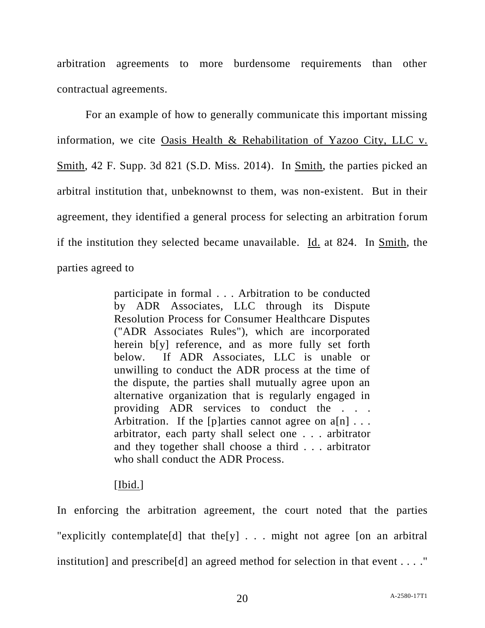arbitration agreements to more burdensome requirements than other contractual agreements.

For an example of how to generally communicate this important missing information, we cite Oasis Health & Rehabilitation of Yazoo City, LLC v. Smith, 42 F. Supp. 3d 821 (S.D. Miss. 2014). In Smith, the parties picked an arbitral institution that, unbeknownst to them, was non-existent. But in their agreement, they identified a general process for selecting an arbitration forum if the institution they selected became unavailable. Id. at 824. In Smith, the parties agreed to

> participate in formal . . . Arbitration to be conducted by ADR Associates, LLC through its Dispute Resolution Process for Consumer Healthcare Disputes ("ADR Associates Rules"), which are incorporated herein  $b[y]$  reference, and as more fully set forth below. If ADR Associates, LLC is unable or unwilling to conduct the ADR process at the time of the dispute, the parties shall mutually agree upon an alternative organization that is regularly engaged in providing ADR services to conduct the . . . Arbitration. If the [p]arties cannot agree on  $a[n]$ ... arbitrator, each party shall select one . . . arbitrator and they together shall choose a third . . . arbitrator who shall conduct the ADR Process.

# [Ibid.]

In enforcing the arbitration agreement, the court noted that the parties "explicitly contemplate<sup>[d]</sup> that the<sup>[y]</sup> . . . might not agree [on an arbitral] institution] and prescribe[d] an agreed method for selection in that event . . . ."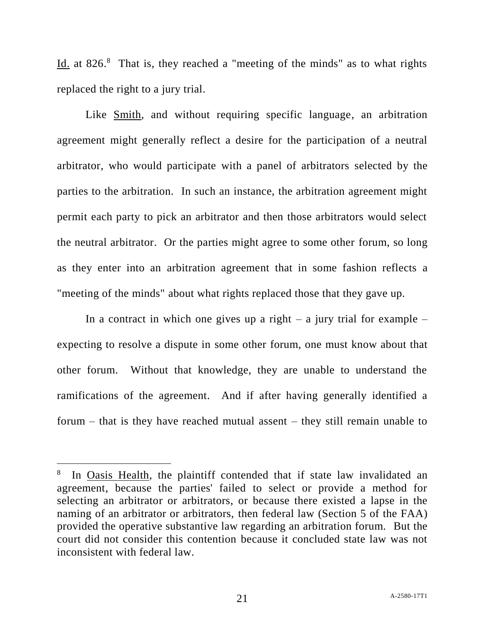Id. at 826.<sup>8</sup> That is, they reached a "meeting of the minds" as to what rights replaced the right to a jury trial.

Like Smith, and without requiring specific language, an arbitration agreement might generally reflect a desire for the participation of a neutral arbitrator, who would participate with a panel of arbitrators selected by the parties to the arbitration. In such an instance, the arbitration agreement might permit each party to pick an arbitrator and then those arbitrators would select the neutral arbitrator. Or the parties might agree to some other forum, so long as they enter into an arbitration agreement that in some fashion reflects a "meeting of the minds" about what rights replaced those that they gave up.

In a contract in which one gives up a right – a jury trial for example – expecting to resolve a dispute in some other forum, one must know about that other forum. Without that knowledge, they are unable to understand the ramifications of the agreement. And if after having generally identified a forum – that is they have reached mutual assent – they still remain unable to

l

<sup>8</sup> In Oasis Health, the plaintiff contended that if state law invalidated an agreement, because the parties' failed to select or provide a method for selecting an arbitrator or arbitrators, or because there existed a lapse in the naming of an arbitrator or arbitrators, then federal law (Section 5 of the FAA) provided the operative substantive law regarding an arbitration forum. But the court did not consider this contention because it concluded state law was not inconsistent with federal law.